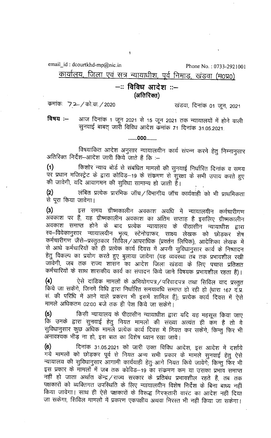email\_id: dcourtkhd-mp@nic.in

Phone No.: 0733-2921001

## कार्यालय, जिला एवं सत्र न्यायाधीश, पूर्व निमाड, खंडवा (म0प्र0)

## –: विविध आदेश ::– (अतिरिक्त)

कमांकः 72 / को.वा. / 2020

खंडवा, दिनांक 01 जून, 2021

आज दिनांक 1 जून 2021 से 15 जून 2021 तक न्यायालयों में होने वाली विषय $:=$ सुनवाई बाबत् जारी विविध आदेश कुंमांक 71 दिनांक 31.05.2021.

## ......000.......

विषयांकित आदेश अनुसार न्यायालयीन कार्य संपन्न करने हेतु निम्नानुसार अतिरिक्त निर्देश—आदेश जारी किये जाते हैं कि :—

किशोर न्याय बोर्ड से संबंधित मामलों की सुनवाई निर्धारित दिनांक व समय  $(1)$ पर प्रधान मजिस्ट्रेट के द्वारा कोविड़–19 के संक्रमण से सुरक्षा के सभी उपाय करते हुए की जावेगी, यदि आवागमन की सुविधा सामान्य हो जाती हैं।

लंबित प्रत्येक प्रारंभिक जॉच/विभागीय जॉच कार्यवाही को भी प्राथमिकता  $(2)$ से पूरा किया जावेगा।

 $(3)$ इस समय ग्रीष्मकालीन अवकाश अवधि में न्यायालयीन कर्मचारीगण अवकाश पर हैं, यह ग्रीष्मकालीन अवकाश का अंतिम सप्ताह है इसलिए ग्रीष्मकालीन अवकाश समाप्त होने के बाद प्रत्येक न्यायालय के पीठासीन न्यायाधीश द्वारा स्व-विवेकानुसार न्यायालयीन भृत्य, स्टेनोग्राफर, साक्ष्य लेखक को छोड़कर शेष कर्मचारीगण जैसे-प्रस्तुतकार सिर्विल/आपराधिक (प्रवर्तन लिपिक), आदेशिका लेखक में से आधे कर्मचारियों को ही प्रत्येक कार्य दिवस में अपनी सुविधानुसार कार्य के निष्पादन हेतु विकल्प का प्रयोग करते हुए बुलाया जावेगा (यह व्यवरॅथा तब तक प्रभावशील रखी जावेगी, जब तक राज्य शासन का आदेश जिला खंडवा के लिए पचास प्रतिशत कर्मचारियों के साथ शासकीय कार्य का संपादन किये जाने विषयक प्रभावशील रहता है)।

ऐसे दांडिक मामलों के अभियोगपत्र /परिवादपत्र तथा सिविल वाद प्रस्तुत  $(4)$ .<br>किये जा सकेंगे, जिनमें विधि द्वारा निर्धारित समयावधि समाप्त हो रही हो (धारा 167 द.प्र. सं. की परिधि में आने वाले प्रकरण भी इसमें शामिल हैं); प्रत्येक कार्य दिवस में ऐसे मामले अधिकतम 02:00 बजे तक ही पेश किये जा सकेंगे।

किसी न्यायालय के पीठासीन न्यायाधीश द्वारा यदि यह महसूस किया जाए  $(5)$ कि उनके द्वारा सुनवाई हेतु नियत मामलों की संख्या अत्यंत ही कम है तो वे सुविधानुसार कुछ अधिक मामले प्रत्येक कार्य दिवस में नियत कर सकेंगे; किन्तु फिर भी अनावश्यक भीड़ ना हो, इस बात का विशेष ध्यान रखा जावे।

दिनांक 31.05.2021 को जारी उक्त विविध आदेश, इस आदेश में दर्शाये  $(6)$ .<br>गये मामलों को छोड़कर पूर्व से नियत अन्य सभी प्रकार के मामले सुनवाई हेतु ऐसे न्यायालय की सुविधानुसार आगामी कार्यवाही हेतु आगे नियत किये जावेंगे, किन्तु फिर भी इस प्रकार के मामलों में जब तक कोविड–19 का संक्रमण कम या उसका प्रभाव समाप्त नहीं हो जाता अर्थात केन्द्र / राज्य सरकार के प्रतिबंध प्रभावशील रहते हैं, तब तक पक्षकारों को व्यक्तिगत उपस्थिति के लिए न्यायालयीन विशेष निर्देश के बिना बाध्य नहीं किया जावेगा। साथ ही ऐसे पक्षकारों के विरूद्ध गिरफ्तारी वारंट का आदेश नहीं दिया जा सकेगा, सिविल मामलों में प्रकरण एकपक्षीय अथवा निरस्त भी नहीं किया जा सकेगा।